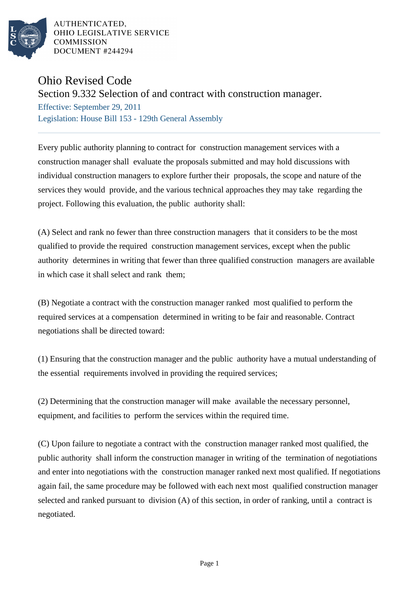

AUTHENTICATED. OHIO LEGISLATIVE SERVICE **COMMISSION** DOCUMENT #244294

## Ohio Revised Code

## Section 9.332 Selection of and contract with construction manager.

Effective: September 29, 2011 Legislation: House Bill 153 - 129th General Assembly

Every public authority planning to contract for construction management services with a construction manager shall evaluate the proposals submitted and may hold discussions with individual construction managers to explore further their proposals, the scope and nature of the services they would provide, and the various technical approaches they may take regarding the project. Following this evaluation, the public authority shall:

(A) Select and rank no fewer than three construction managers that it considers to be the most qualified to provide the required construction management services, except when the public authority determines in writing that fewer than three qualified construction managers are available in which case it shall select and rank them;

(B) Negotiate a contract with the construction manager ranked most qualified to perform the required services at a compensation determined in writing to be fair and reasonable. Contract negotiations shall be directed toward:

(1) Ensuring that the construction manager and the public authority have a mutual understanding of the essential requirements involved in providing the required services;

(2) Determining that the construction manager will make available the necessary personnel, equipment, and facilities to perform the services within the required time.

(C) Upon failure to negotiate a contract with the construction manager ranked most qualified, the public authority shall inform the construction manager in writing of the termination of negotiations and enter into negotiations with the construction manager ranked next most qualified. If negotiations again fail, the same procedure may be followed with each next most qualified construction manager selected and ranked pursuant to division (A) of this section, in order of ranking, until a contract is negotiated.